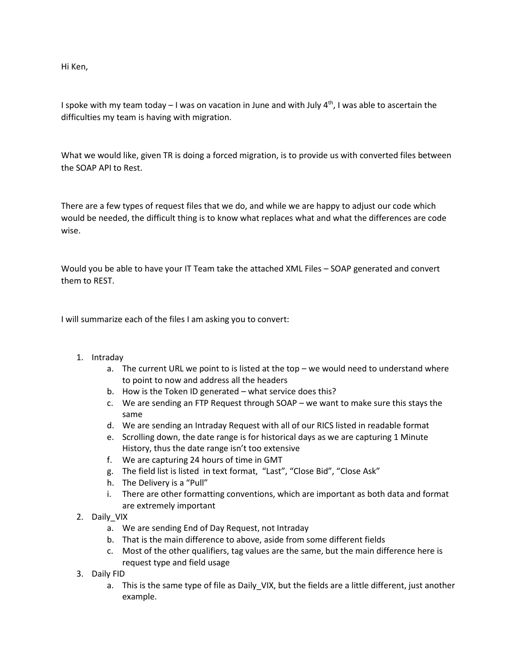Hi Ken,

I spoke with my team today – I was on vacation in June and with July  $4<sup>th</sup>$ , I was able to ascertain the difficulties my team is having with migration.

What we would like, given TR is doing a forced migration, is to provide us with converted files between the SOAP API to Rest.

There are a few types of request files that we do, and while we are happy to adjust our code which would be needed, the difficult thing is to know what replaces what and what the differences are code wise.

Would you be able to have your IT Team take the attached XML Files – SOAP generated and convert them to REST.

I will summarize each of the files I am asking you to convert:

## 1. Intraday

- a. The current URL we point to is listed at the top we would need to understand where to point to now and address all the headers
- b. How is the Token ID generated what service does this?
- c. We are sending an FTP Request through SOAP we want to make sure this stays the same
- d. We are sending an Intraday Request with all of our RICS listed in readable format
- e. Scrolling down, the date range is for historical days as we are capturing 1 Minute History, thus the date range isn't too extensive
- f. We are capturing 24 hours of time in GMT
- g. The field list is listed in text format, "Last", "Close Bid", "Close Ask"
- h. The Delivery is a "Pull"
- i. There are other formatting conventions, which are important as both data and format are extremely important
- 2. Daily\_VIX
	- a. We are sending End of Day Request, not Intraday
	- b. That is the main difference to above, aside from some different fields
	- c. Most of the other qualifiers, tag values are the same, but the main difference here is request type and field usage
- 3. Daily FID
	- a. This is the same type of file as Daily VIX, but the fields are a little different, just another example.